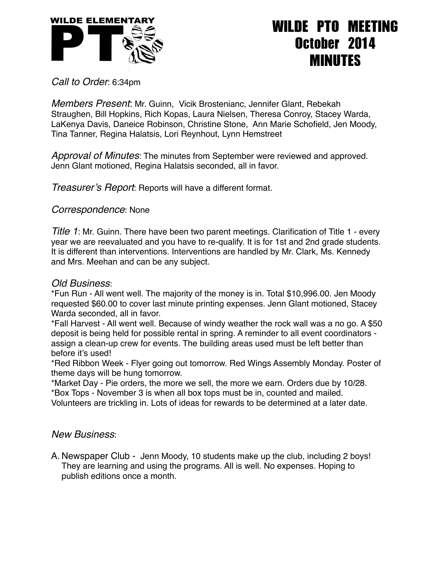

## WILDE PTO MEETING October 2014 MINUTES

*Call to Order*: 6:34pm

*Members Present*: Mr. Guinn, Vicik Brostenianc, Jennifer Glant, Rebekah Straughen, Bill Hopkins, Rich Kopas, Laura Nielsen, Theresa Conroy, Stacey Warda, LaKenya Davis, Daneice Robinson, Christine Stone, Ann Marie Schofield, Jen Moody, Tina Tanner, Regina Halatsis, Lori Reynhout, Lynn Hemstreet

*Approval of Minutes*: The minutes from September were reviewed and approved. Jenn Glant motioned, Regina Halatsis seconded, all in favor.

*Treasurer's Report*: Reports will have a different format.

## *Correspondence*: None

*Title 1*: Mr. Guinn. There have been two parent meetings. Clarification of Title 1 - every year we are reevaluated and you have to re-qualify. It is for 1st and 2nd grade students. It is different than interventions. Interventions are handled by Mr. Clark, Ms. Kennedy and Mrs. Meehan and can be any subject.

## *Old Business*:

\*Fun Run - All went well. The majority of the money is in. Total \$10,996.00. Jen Moody requested \$60.00 to cover last minute printing expenses. Jenn Glant motioned, Stacey Warda seconded, all in favor.

\*Fall Harvest - All went well. Because of windy weather the rock wall was a no go. A \$50 deposit is being held for possible rental in spring. A reminder to all event coordinators assign a clean-up crew for events. The building areas used must be left better than before it's used!

\*Red Ribbon Week - Flyer going out tomorrow. Red Wings Assembly Monday. Poster of theme days will be hung tomorrow.

\*Market Day - Pie orders, the more we sell, the more we earn. Orders due by 10/28.

\*Box Tops - November 3 is when all box tops must be in, counted and mailed.

Volunteers are trickling in. Lots of ideas for rewards to be determined at a later date.

## *New Business*:

A. Newspaper Club - Jenn Moody, 10 students make up the club, including 2 boys! They are learning and using the programs. All is well. No expenses. Hoping to publish editions once a month.